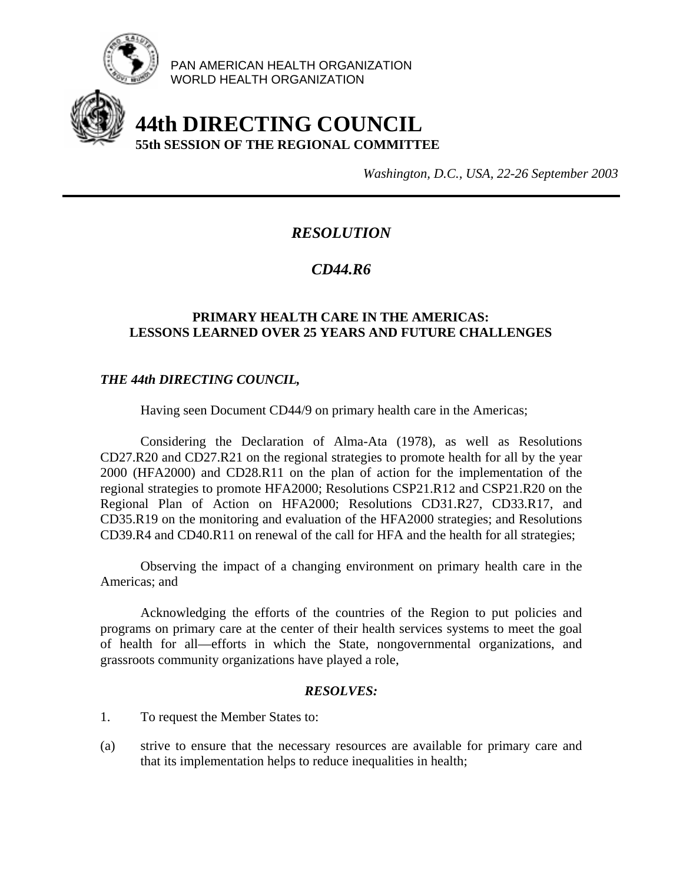

PAN AMERICAN HEALTH ORGANIZATION WORLD HEALTH ORGANIZATION

# **44th DIRECTING COUNCIL 55th SESSION OF THE REGIONAL COMMITTEE**

*Washington, D.C., USA, 22-26 September 2003*

## *RESOLUTION*

## *CD44.R6*

### **PRIMARY HEALTH CARE IN THE AMERICAS: LESSONS LEARNED OVER 25 YEARS AND FUTURE CHALLENGES**

### *THE 44th DIRECTING COUNCIL,*

Having seen Document CD44/9 on primary health care in the Americas;

 Considering the Declaration of Alma-Ata (1978), as well as Resolutions CD27.R20 and CD27.R21 on the regional strategies to promote health for all by the year 2000 (HFA2000) and CD28.R11 on the plan of action for the implementation of the regional strategies to promote HFA2000; Resolutions CSP21.R12 and CSP21.R20 on the Regional Plan of Action on HFA2000; Resolutions CD31.R27, CD33.R17, and CD35.R19 on the monitoring and evaluation of the HFA2000 strategies; and Resolutions CD39.R4 and CD40.R11 on renewal of the call for HFA and the health for all strategies;

 Observing the impact of a changing environment on primary health care in the Americas; and

 Acknowledging the efforts of the countries of the Region to put policies and programs on primary care at the center of their health services systems to meet the goal of health for all—efforts in which the State, nongovernmental organizations, and grassroots community organizations have played a role,

#### *RESOLVES:*

- 1. To request the Member States to:
- (a) strive to ensure that the necessary resources are available for primary care and that its implementation helps to reduce inequalities in health;